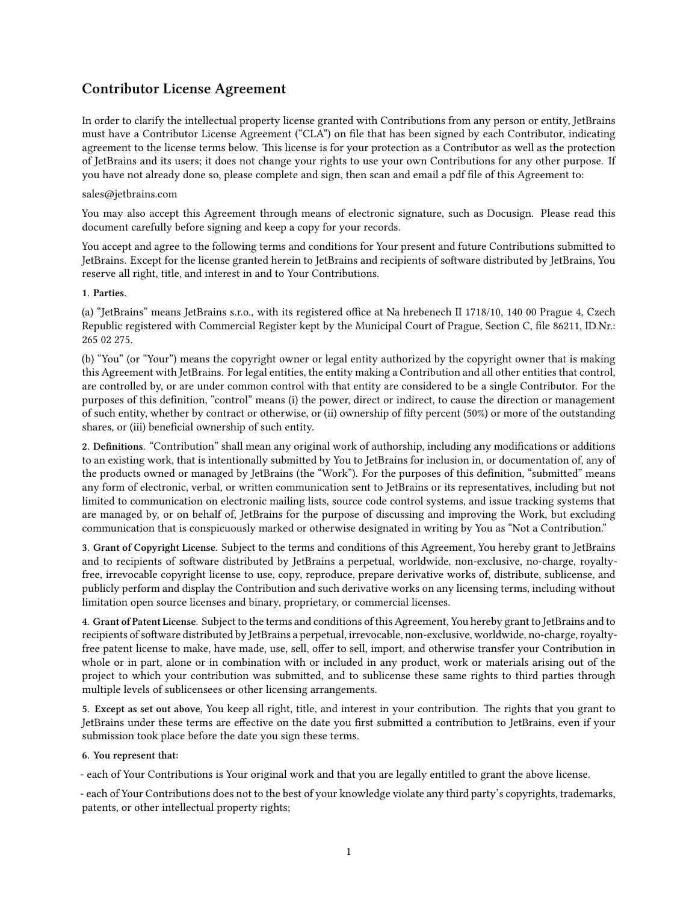## **Contributor License Agreement**

In order to clarify the intellectual property license granted with Contributions from any person or entity, JetBrains must have a Contributor License Agreement ("CLA") on file that has been signed by each Contributor, indicating agreement to the license terms below. This license is for your protection as a Contributor as well as the protection of JetBrains and its users; it does not change your rights to use your own Contributions for any other purpose. If you have not already done so, please complete and sign, then scan and email a pdf file of this Agreement to:

## sales@jetbrains.com

You may also accept this Agreement through means of electronic signature, such as Docusign. Please read this document carefully before signing and keep a copy for your records.

You accept and agree to the following terms and conditions for Your present and future Contributions submitted to JetBrains. Except for the license granted herein to JetBrains and recipients of software distributed by JetBrains, You reserve all right, title, and interest in and to Your Contributions.

## **1. Parties.**

(a) "JetBrains" means JetBrains s.r.o., with its registered office at Na hrebenech II 1718/10, 140 00 Prague 4, Czech Republic registered with Commercial Register kept by the Municipal Court of Prague, Section C, file 86211, ID.Nr.: 265 02 275.

(b) "You" (or "Your") means the copyright owner or legal entity authorized by the copyright owner that is making this Agreement with JetBrains. For legal entities, the entity making a Contribution and all other entities that control, are controlled by, or are under common control with that entity are considered to be a single Contributor. For the purposes of this definition, "control" means (i) the power, direct or indirect, to cause the direction or management of such entity, whether by contract or otherwise, or (ii) ownership of fifty percent (50%) or more of the outstanding shares, or (iii) beneficial ownership of such entity.

**2. Definitions.** "Contribution" shall mean any original work of authorship, including any modifications or additions to an existing work, that is intentionally submitted by You to JetBrains for inclusion in, or documentation of, any of the products owned or managed by JetBrains (the "Work"). For the purposes of this definition, "submitted" means any form of electronic, verbal, or written communication sent to JetBrains or its representatives, including but not limited to communication on electronic mailing lists, source code control systems, and issue tracking systems that are managed by, or on behalf of, JetBrains for the purpose of discussing and improving the Work, but excluding communication that is conspicuously marked or otherwise designated in writing by You as "Not a Contribution."

**3. Grant of Copyright License.** Subject to the terms and conditions of this Agreement, You hereby grant to JetBrains and to recipients of software distributed by JetBrains a perpetual, worldwide, non-exclusive, no-charge, royaltyfree, irrevocable copyright license to use, copy, reproduce, prepare derivative works of, distribute, sublicense, and publicly perform and display the Contribution and such derivative works on any licensing terms, including without limitation open source licenses and binary, proprietary, or commercial licenses.

**4. Grant of Patent License.** Subject to the terms and conditions of this Agreement, You hereby grant to JetBrains and to recipients of software distributed by JetBrains a perpetual, irrevocable, non-exclusive, worldwide, no-charge, royaltyfree patent license to make, have made, use, sell, offer to sell, import, and otherwise transfer your Contribution in whole or in part, alone or in combination with or included in any product, work or materials arising out of the project to which your contribution was submitted, and to sublicense these same rights to third parties through multiple levels of sublicensees or other licensing arrangements.

**5. Except as set out above,** You keep all right, title, and interest in your contribution. The rights that you grant to JetBrains under these terms are effective on the date you first submitted a contribution to JetBrains, even if your submission took place before the date you sign these terms.

## **6. You represent that:**

- each of Your Contributions is Your original work and that you are legally entitled to grant the above license.

- each of Your Contributions does not to the best of your knowledge violate any third party's copyrights, trademarks, patents, or other intellectual property rights;